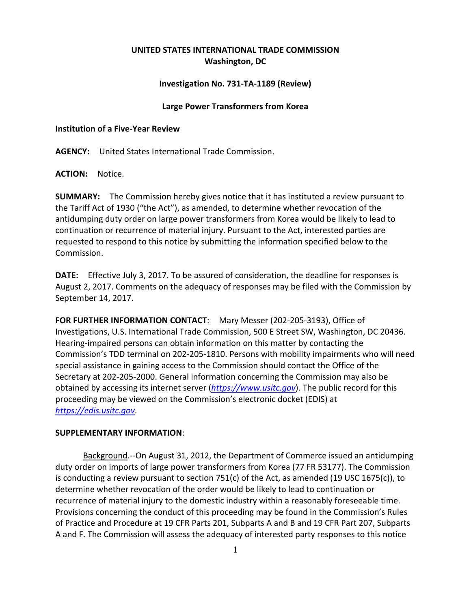# **UNITED STATES INTERNATIONAL TRADE COMMISSION Washington, DC**

# **Investigation No. 731‐TA‐1189 (Review)**

#### **Large Power Transformers from Korea**

## **Institution of a Five‐Year Review**

**AGENCY:** United States International Trade Commission.

**ACTION:** Notice.

**SUMMARY:** The Commission hereby gives notice that it has instituted a review pursuant to the Tariff Act of 1930 ("the Act"), as amended, to determine whether revocation of the antidumping duty order on large power transformers from Korea would be likely to lead to continuation or recurrence of material injury. Pursuant to the Act, interested parties are requested to respond to this notice by submitting the information specified below to the Commission.

**DATE:** Effective July 3, 2017. To be assured of consideration, the deadline for responses is August 2, 2017. Comments on the adequacy of responses may be filed with the Commission by September 14, 2017.

**FOR FURTHER INFORMATION CONTACT**: Mary Messer (202‐205‐3193), Office of Investigations, U.S. International Trade Commission, 500 E Street SW, Washington, DC 20436. Hearing‐impaired persons can obtain information on this matter by contacting the Commission's TDD terminal on 202‐205‐1810. Persons with mobility impairments who will need special assistance in gaining access to the Commission should contact the Office of the Secretary at 202‐205‐2000. General information concerning the Commission may also be obtained by accessing its internet server (*https://www.usitc.gov*). The public record for this proceeding may be viewed on the Commission's electronic docket (EDIS) at *https://edis.usitc.gov*.

## **SUPPLEMENTARY INFORMATION**:

Background.‐‐On August 31, 2012, the Department of Commerce issued an antidumping duty order on imports of large power transformers from Korea (77 FR 53177). The Commission is conducting a review pursuant to section 751(c) of the Act, as amended (19 USC 1675(c)), to determine whether revocation of the order would be likely to lead to continuation or recurrence of material injury to the domestic industry within a reasonably foreseeable time. Provisions concerning the conduct of this proceeding may be found in the Commission's Rules of Practice and Procedure at 19 CFR Parts 201, Subparts A and B and 19 CFR Part 207, Subparts A and F. The Commission will assess the adequacy of interested party responses to this notice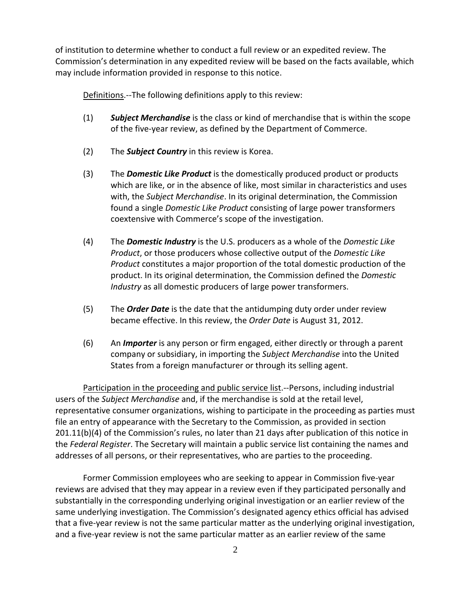of institution to determine whether to conduct a full review or an expedited review. The Commission's determination in any expedited review will be based on the facts available, which may include information provided in response to this notice.

Definitions.—The following definitions apply to this review:

- (1) *Subject Merchandise* is the class or kind of merchandise that is within the scope of the five‐year review, as defined by the Department of Commerce.
- (2) The *Subject Country* in this review is Korea.
- (3) The *Domestic Like Product* is the domestically produced product or products which are like, or in the absence of like, most similar in characteristics and uses with, the *Subject Merchandise*. In its original determination, the Commission found a single *Domestic Like Product* consisting of large power transformers coextensive with Commerce's scope of the investigation.
- (4) The *Domestic Industry* is the U.S. producers as a whole of the *Domestic Like Product*, or those producers whose collective output of the *Domestic Like Product* constitutes a major proportion of the total domestic production of the product. In its original determination, the Commission defined the *Domestic Industry* as all domestic producers of large power transformers.
- (5) The *Order Date* is the date that the antidumping duty order under review became effective. In this review, the *Order Date* is August 31, 2012.
- (6) An *Importer* is any person or firm engaged, either directly or through a parent company or subsidiary, in importing the *Subject Merchandise* into the United States from a foreign manufacturer or through its selling agent.

Participation in the proceeding and public service list.‐‐Persons, including industrial users of the *Subject Merchandise* and, if the merchandise is sold at the retail level, representative consumer organizations, wishing to participate in the proceeding as parties must file an entry of appearance with the Secretary to the Commission, as provided in section 201.11(b)(4) of the Commission's rules, no later than 21 days after publication of this notice in the *Federal Register*. The Secretary will maintain a public service list containing the names and addresses of all persons, or their representatives, who are parties to the proceeding.

Former Commission employees who are seeking to appear in Commission five‐year reviews are advised that they may appear in a review even if they participated personally and substantially in the corresponding underlying original investigation or an earlier review of the same underlying investigation. The Commission's designated agency ethics official has advised that a five‐year review is not the same particular matter as the underlying original investigation, and a five‐year review is not the same particular matter as an earlier review of the same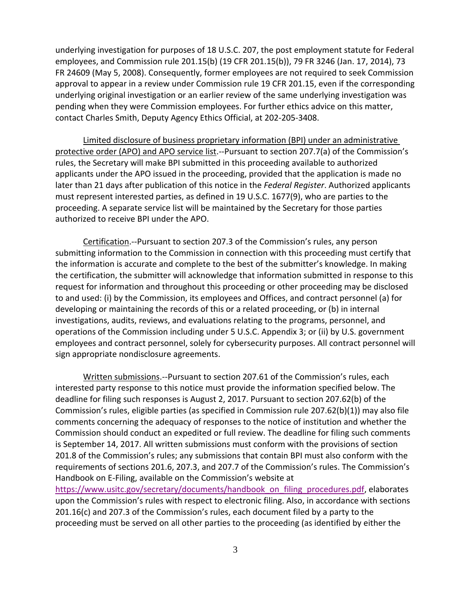underlying investigation for purposes of 18 U.S.C. 207, the post employment statute for Federal employees, and Commission rule 201.15(b) (19 CFR 201.15(b)), 79 FR 3246 (Jan. 17, 2014), 73 FR 24609 (May 5, 2008). Consequently, former employees are not required to seek Commission approval to appear in a review under Commission rule 19 CFR 201.15, even if the corresponding underlying original investigation or an earlier review of the same underlying investigation was pending when they were Commission employees. For further ethics advice on this matter, contact Charles Smith, Deputy Agency Ethics Official, at 202‐205‐3408.

Limited disclosure of business proprietary information (BPI) under an administrative protective order (APO) and APO service list.--Pursuant to section 207.7(a) of the Commission's rules, the Secretary will make BPI submitted in this proceeding available to authorized applicants under the APO issued in the proceeding, provided that the application is made no later than 21 days after publication of this notice in the *Federal Register*. Authorized applicants must represent interested parties, as defined in 19 U.S.C. 1677(9), who are parties to the proceeding. A separate service list will be maintained by the Secretary for those parties authorized to receive BPI under the APO.

Certification.‐‐Pursuant to section 207.3 of the Commission's rules, any person submitting information to the Commission in connection with this proceeding must certify that the information is accurate and complete to the best of the submitter's knowledge. In making the certification, the submitter will acknowledge that information submitted in response to this request for information and throughout this proceeding or other proceeding may be disclosed to and used: (i) by the Commission, its employees and Offices, and contract personnel (a) for developing or maintaining the records of this or a related proceeding, or (b) in internal investigations, audits, reviews, and evaluations relating to the programs, personnel, and operations of the Commission including under 5 U.S.C. Appendix 3; or (ii) by U.S. government employees and contract personnel, solely for cybersecurity purposes. All contract personnel will sign appropriate nondisclosure agreements.

Written submissions.‐‐Pursuant to section 207.61 of the Commission's rules, each interested party response to this notice must provide the information specified below. The deadline for filing such responses is August 2, 2017. Pursuant to section 207.62(b) of the Commission's rules, eligible parties (as specified in Commission rule 207.62(b)(1)) may also file comments concerning the adequacy of responses to the notice of institution and whether the Commission should conduct an expedited or full review. The deadline for filing such comments is September 14, 2017. All written submissions must conform with the provisions of section 201.8 of the Commission's rules; any submissions that contain BPI must also conform with the requirements of sections 201.6, 207.3, and 207.7 of the Commission's rules. The Commission's Handbook on E‐Filing, available on the Commission's website at https://www.usitc.gov/secretary/documents/handbook on filing procedures.pdf, elaborates

upon the Commission's rules with respect to electronic filing. Also, in accordance with sections 201.16(c) and 207.3 of the Commission's rules, each document filed by a party to the proceeding must be served on all other parties to the proceeding (as identified by either the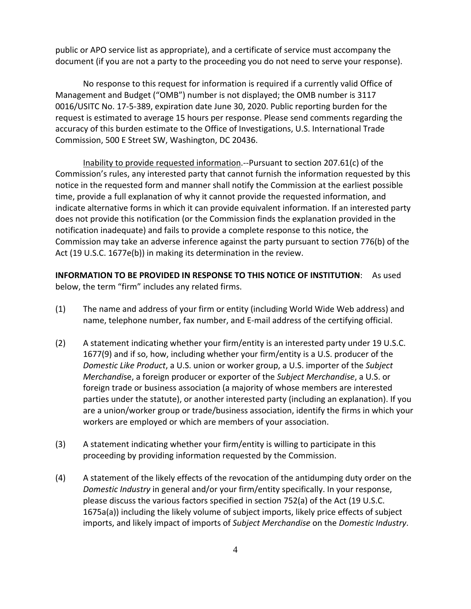public or APO service list as appropriate), and a certificate of service must accompany the document (if you are not a party to the proceeding you do not need to serve your response).

No response to this request for information is required if a currently valid Office of Management and Budget ("OMB") number is not displayed; the OMB number is 3117 0016/USITC No. 17‐5‐389, expiration date June 30, 2020. Public reporting burden for the request is estimated to average 15 hours per response. Please send comments regarding the accuracy of this burden estimate to the Office of Investigations, U.S. International Trade Commission, 500 E Street SW, Washington, DC 20436.

Inability to provide requested information.‐‐Pursuant to section 207.61(c) of the Commission's rules, any interested party that cannot furnish the information requested by this notice in the requested form and manner shall notify the Commission at the earliest possible time, provide a full explanation of why it cannot provide the requested information, and indicate alternative forms in which it can provide equivalent information. If an interested party does not provide this notification (or the Commission finds the explanation provided in the notification inadequate) and fails to provide a complete response to this notice, the Commission may take an adverse inference against the party pursuant to section 776(b) of the Act (19 U.S.C. 1677e(b)) in making its determination in the review.

**INFORMATION TO BE PROVIDED IN RESPONSE TO THIS NOTICE OF INSTITUTION**: As used below, the term "firm" includes any related firms.

- (1) The name and address of your firm or entity (including World Wide Web address) and name, telephone number, fax number, and E‐mail address of the certifying official.
- (2) A statement indicating whether your firm/entity is an interested party under 19 U.S.C. 1677(9) and if so, how, including whether your firm/entity is a U.S. producer of the *Domestic Like Product*, a U.S. union or worker group, a U.S. importer of the *Subject Merchandi*se, a foreign producer or exporter of the *Subject Merchandise*, a U.S. or foreign trade or business association (a majority of whose members are interested parties under the statute), or another interested party (including an explanation). If you are a union/worker group or trade/business association, identify the firms in which your workers are employed or which are members of your association.
- (3) A statement indicating whether your firm/entity is willing to participate in this proceeding by providing information requested by the Commission.
- (4) A statement of the likely effects of the revocation of the antidumping duty order on the *Domestic Industry* in general and/or your firm/entity specifically. In your response, please discuss the various factors specified in section 752(a) of the Act (19 U.S.C. 1675a(a)) including the likely volume of subject imports, likely price effects of subject imports, and likely impact of imports of *Subject Merchandise* on the *Domestic Industry*.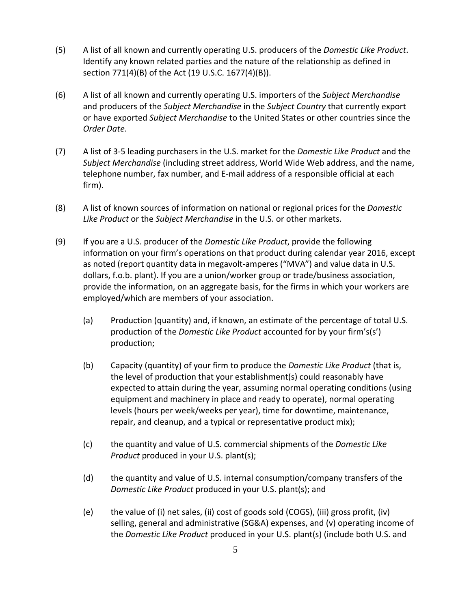- (5) A list of all known and currently operating U.S. producers of the *Domestic Like Product*. Identify any known related parties and the nature of the relationship as defined in section 771(4)(B) of the Act (19 U.S.C. 1677(4)(B)).
- (6) A list of all known and currently operating U.S. importers of the *Subject Merchandise* and producers of the *Subject Merchandise* in the *Subject Country* that currently export or have exported *Subject Merchandise* to the United States or other countries since the *Order Date*.
- (7) A list of 3‐5 leading purchasers in the U.S. market for the *Domestic Like Product* and the *Subject Merchandise* (including street address, World Wide Web address, and the name, telephone number, fax number, and E‐mail address of a responsible official at each firm).
- (8) A list of known sources of information on national or regional prices for the *Domestic Like Product* or the *Subject Merchandise* in the U.S. or other markets.
- (9) If you are a U.S. producer of the *Domestic Like Product*, provide the following information on your firm's operations on that product during calendar year 2016, except as noted (report quantity data in megavolt‐amperes ("MVA") and value data in U.S. dollars, f.o.b. plant). If you are a union/worker group or trade/business association, provide the information, on an aggregate basis, for the firms in which your workers are employed/which are members of your association.
	- (a) Production (quantity) and, if known, an estimate of the percentage of total U.S. production of the *Domestic Like Product* accounted for by your firm's(s') production;
	- (b) Capacity (quantity) of your firm to produce the *Domestic Like Product* (that is, the level of production that your establishment(s) could reasonably have expected to attain during the year, assuming normal operating conditions (using equipment and machinery in place and ready to operate), normal operating levels (hours per week/weeks per year), time for downtime, maintenance, repair, and cleanup, and a typical or representative product mix);
	- (c) the quantity and value of U.S. commercial shipments of the *Domestic Like Product* produced in your U.S. plant(s);
	- (d) the quantity and value of U.S. internal consumption/company transfers of the *Domestic Like Product* produced in your U.S. plant(s); and
	- (e) the value of (i) net sales, (ii) cost of goods sold (COGS), (iii) gross profit, (iv) selling, general and administrative (SG&A) expenses, and (v) operating income of the *Domestic Like Product* produced in your U.S. plant(s) (include both U.S. and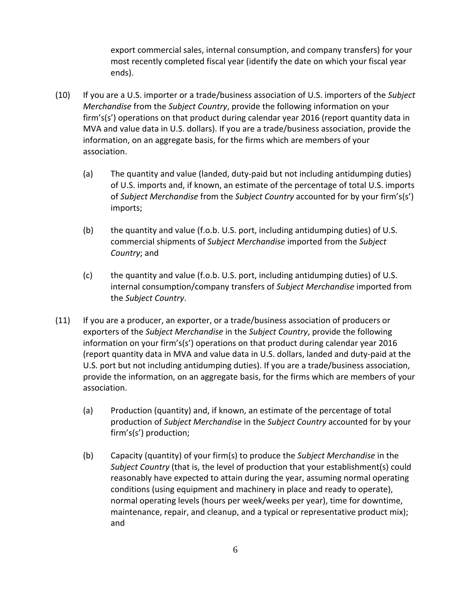export commercial sales, internal consumption, and company transfers) for your most recently completed fiscal year (identify the date on which your fiscal year ends).

- (10) If you are a U.S. importer or a trade/business association of U.S. importers of the *Subject Merchandise* from the *Subject Country*, provide the following information on your firm's(s') operations on that product during calendar year 2016 (report quantity data in MVA and value data in U.S. dollars). If you are a trade/business association, provide the information, on an aggregate basis, for the firms which are members of your association.
	- (a) The quantity and value (landed, duty‐paid but not including antidumping duties) of U.S. imports and, if known, an estimate of the percentage of total U.S. imports of *Subject Merchandise* from the *Subject Country* accounted for by your firm's(s') imports;
	- (b) the quantity and value (f.o.b. U.S. port, including antidumping duties) of U.S. commercial shipments of *Subject Merchandise* imported from the *Subject Country*; and
	- (c) the quantity and value (f.o.b. U.S. port, including antidumping duties) of U.S. internal consumption/company transfers of *Subject Merchandise* imported from the *Subject Country*.
- (11) If you are a producer, an exporter, or a trade/business association of producers or exporters of the *Subject Merchandise* in the *Subject Country*, provide the following information on your firm's(s') operations on that product during calendar year 2016 (report quantity data in MVA and value data in U.S. dollars, landed and duty‐paid at the U.S. port but not including antidumping duties). If you are a trade/business association, provide the information, on an aggregate basis, for the firms which are members of your association.
	- (a) Production (quantity) and, if known, an estimate of the percentage of total production of *Subject Merchandise* in the *Subject Country* accounted for by your firm's(s') production;
	- (b) Capacity (quantity) of your firm(s) to produce the *Subject Merchandise* in the *Subject Country* (that is, the level of production that your establishment(s) could reasonably have expected to attain during the year, assuming normal operating conditions (using equipment and machinery in place and ready to operate), normal operating levels (hours per week/weeks per year), time for downtime, maintenance, repair, and cleanup, and a typical or representative product mix); and